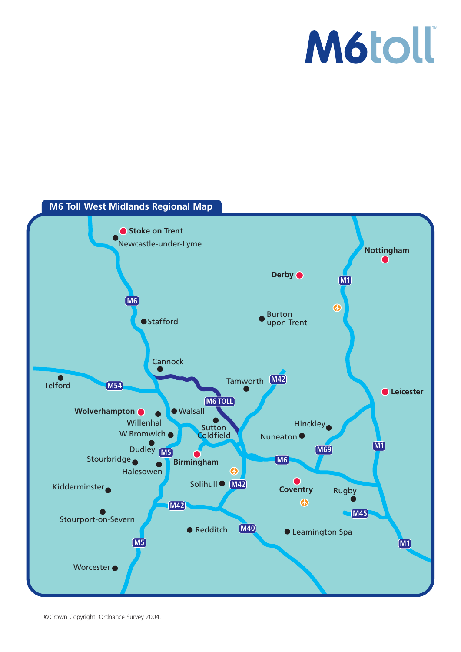### **M6toll**



©Crown Copyright, Ordnance Survey 2004.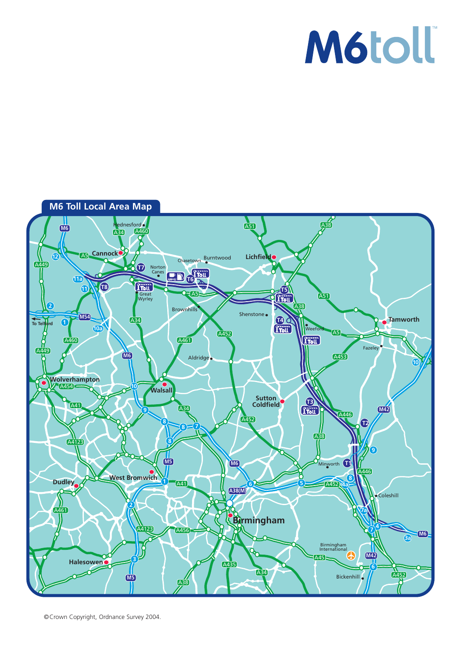### M6toll<sup>®</sup>



©Crown Copyright, Ordnance Survey 2004.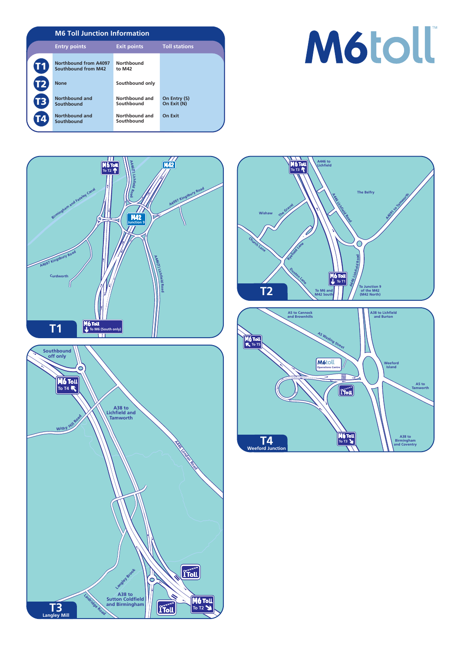

# M6toll<sup>®</sup>







**To T3**

461

 $r_{\text{roll}}$ 

**T4 Weeford Jun** 

**A38 to Birmingham and Coventry**

**A5 to Tamworth**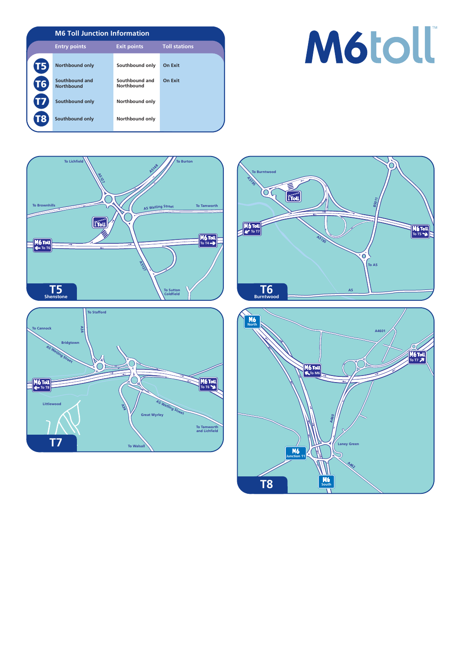|           | <b>M6 Toll Junction Information</b> |                              |                      |
|-----------|-------------------------------------|------------------------------|----------------------|
|           | <b>Entry points</b>                 | <b>Exit points</b>           | <b>Toll stations</b> |
| 5         | <b>Northbound only</b>              | Southbound only              | On Exit              |
| <b>T6</b> | Southbound and<br><b>Northbound</b> | Southbound and<br>Northbound | On Exit              |
| <b>T7</b> | Southbound only                     | Northbound only              |                      |
|           | Southbound only                     | Northbound only              |                      |

## **M6toll**